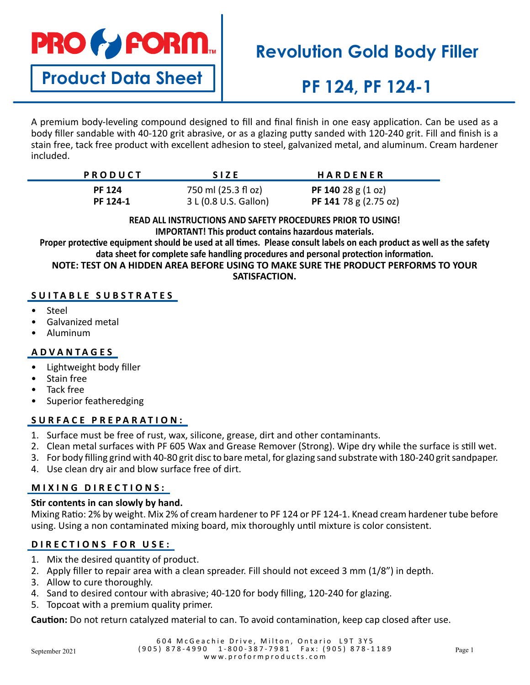

**Product Data Sheet**

# **Revolution Gold Body Filler**

# **PF 124, PF 124-1**

A premium body-leveling compound designed to fill and final finish in one easy application. Can be used as a body filler sandable with 40-120 grit abrasive, or as a glazing putty sanded with 120-240 grit. Fill and finish is a stain free, tack free product with excellent adhesion to steel, galvanized metal, and aluminum. Cream hardener included.

| PRODUCT       | <b>SIZE</b>           | <b>HARDENER</b>                        |
|---------------|-----------------------|----------------------------------------|
| <b>PF 124</b> | 750 ml (25.3 fl oz)   | <b>PF 140</b> 28 g $(1 \text{ oz})$    |
| PF 124-1      | 3 L (0.8 U.S. Gallon) | <b>PF 141</b> 78 g $(2.75 \text{ oz})$ |

**READ ALL INSTRUCTIONS AND SAFETY PROCEDURES PRIOR TO USING! IMPORTANT! This product contains hazardous materials.**

**Proper protective equipment should be used at all times. Please consult labels on each product as well as the safety data sheet for complete safe handling procedures and personal protection information. NOTE: TEST ON A HIDDEN AREA BEFORE USING TO MAKE SURE THE PRODUCT PERFORMS TO YOUR** 

**SATISFACTION.**

## **SUITABLE SUBSTRATES**

- **Steel**
- Galvanized metal
- Aluminum

## **ADVANTAGES**

- Lightweight body filler
- Stain free
- Tack free
- Superior featheredging

## **SURFACE PREPARATION:**

- 1. Surface must be free of rust, wax, silicone, grease, dirt and other contaminants.
- 2. Clean metal surfaces with PF 605 Wax and Grease Remover (Strong). Wipe dry while the surface is still wet.
- 3. For body filling grind with 40-80 grit disc to bare metal, for glazing sand substrate with 180-240 grit sandpaper.
- 4. Use clean dry air and blow surface free of dirt.

## **MIXING DIRECTIONS:**

### **Stir contents in can slowly by hand.**

Mixing Ratio: 2% by weight. Mix 2% of cream hardener to PF 124 or PF 124-1. Knead cream hardener tube before using. Using a non contaminated mixing board, mix thoroughly until mixture is color consistent.

# **DIRECTIONS FOR USE:**

- 1. Mix the desired quantity of product.
- 2. Apply filler to repair area with a clean spreader. Fill should not exceed 3 mm (1/8") in depth.
- 3. Allow to cure thoroughly.
- 4. Sand to desired contour with abrasive; 40-120 for body filling, 120-240 for glazing.
- 5. Topcoat with a premium quality primer.

**Caution:** Do not return catalyzed material to can. To avoid contamination, keep cap closed after use.